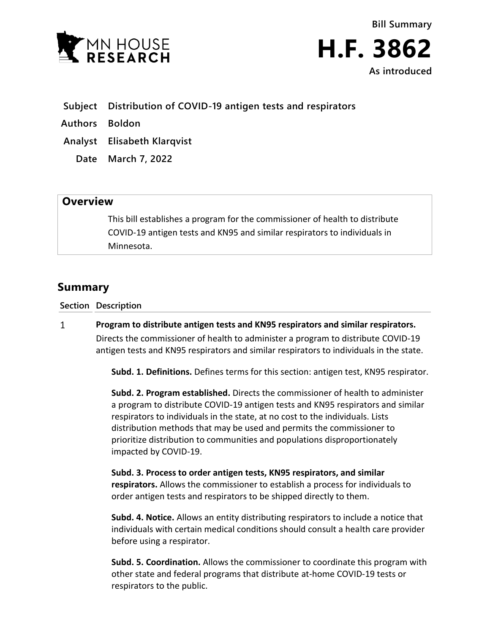



- **Subject Distribution of COVID-19 antigen tests and respirators**
- **Authors Boldon**
- **Analyst Elisabeth Klarqvist**
	- **Date March 7, 2022**

## **Overview**

This bill establishes a program for the commissioner of health to distribute COVID-19 antigen tests and KN95 and similar respirators to individuals in Minnesota.

## **Summary**

**Section Description**

 $\mathbf{1}$ **Program to distribute antigen tests and KN95 respirators and similar respirators.** Directs the commissioner of health to administer a program to distribute COVID-19 antigen tests and KN95 respirators and similar respirators to individuals in the state.

**Subd. 1. Definitions.** Defines terms for this section: antigen test, KN95 respirator.

**Subd. 2. Program established.** Directs the commissioner of health to administer a program to distribute COVID-19 antigen tests and KN95 respirators and similar respirators to individuals in the state, at no cost to the individuals. Lists distribution methods that may be used and permits the commissioner to prioritize distribution to communities and populations disproportionately impacted by COVID-19.

**Subd. 3. Process to order antigen tests, KN95 respirators, and similar respirators.** Allows the commissioner to establish a process for individuals to order antigen tests and respirators to be shipped directly to them.

**Subd. 4. Notice.** Allows an entity distributing respirators to include a notice that individuals with certain medical conditions should consult a health care provider before using a respirator.

**Subd. 5. Coordination.** Allows the commissioner to coordinate this program with other state and federal programs that distribute at-home COVID-19 tests or respirators to the public.